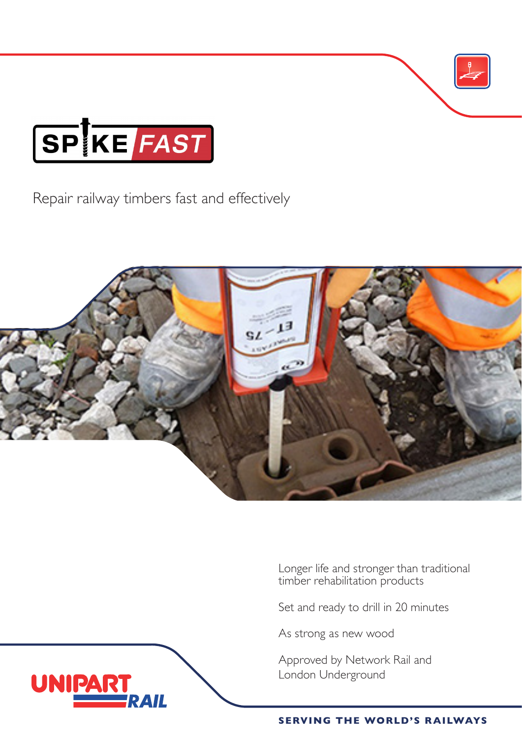

**UNIPAR** 

Repair railway timbers fast and effectively



Longer life and stronger than traditional timber rehabilitation products

Set and ready to drill in 20 minutes

As strong as new wood

Approved by Network Rail and London Underground



**SERVING THE WORLD'S RAILWAYS**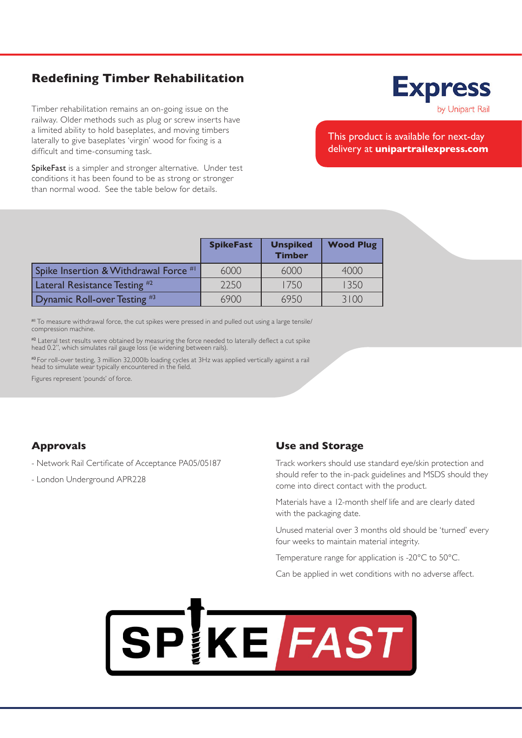## **Redefining Timber Rehabilitation**

Timber rehabilitation remains an on-going issue on the railway. Older methods such as plug or screw inserts have a limited ability to hold baseplates, and moving timbers laterally to give baseplates 'virgin' wood for fixing is a difficult and time-consuming task.

SpikeFast is a simpler and stronger alternative. Under test conditions it has been found to be as strong or stronger than normal wood. See the table below for details.

## This product is available for next-day delivery at **unipartrailexpress.com**

|                                          | <b>SpikeFast</b> | <b>Unspiked</b><br><b>Timber</b> | <b>Wood Plug</b> |
|------------------------------------------|------------------|----------------------------------|------------------|
| Spike Insertion & Withdrawal Force #1    | 6000             | 6000                             | 4000             |
| Lateral Resistance Testing <sup>#2</sup> | 2250             | 1750                             | 1350             |
| Dynamic Roll-over Testing $#3$           | 6900             | 6950                             | 3100             |

#1 To measure withdrawal force, the cut spikes were pressed in and pulled out using a large tensile/ compression machine.

#2 Lateral test results were obtained by measuring the force needed to laterally deflect a cut spike head 0.2", which simulates rail gauge loss (ie widening between rails).

#3 For roll-over testing, 3 million 32,000lb loading cycles at 3Hz was applied vertically against a rail head to simulate wear typically encountered in the field.

Figures represent 'pounds' of force.

## **Approvals**

- Network Rail Certificate of Acceptance PA05/05187

- London Underground APR228

### **Use and Storage**

Track workers should use standard eye/skin protection and should refer to the in-pack guidelines and MSDS should they come into direct contact with the product.

Materials have a 12-month shelf life and are clearly dated with the packaging date.

Unused material over 3 months old should be 'turned' every four weeks to maintain material integrity.

Temperature range for application is -20°C to 50°C.

Can be applied in wet conditions with no adverse affect.



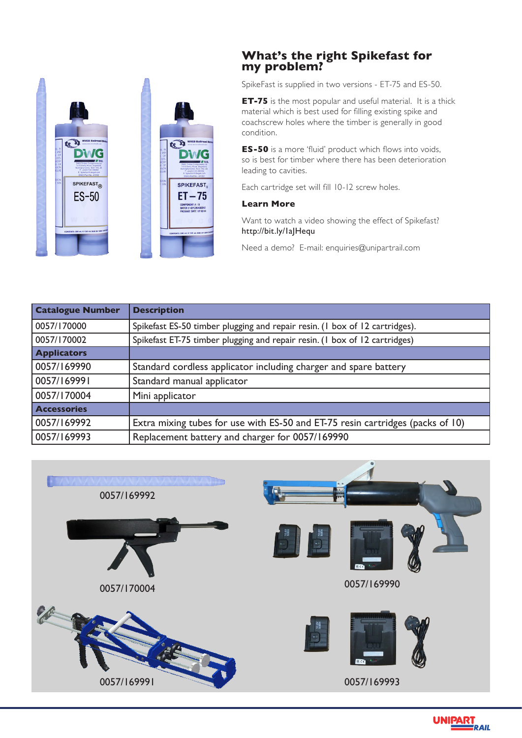

## **What's the right Spikefast for my problem?**

SpikeFast is supplied in two versions - ET-75 and ES-50.

**ET-75** is the most popular and useful material. It is a thick material which is best used for filling existing spike and coachscrew holes where the timber is generally in good condition.

**ES-50** is a more 'fluid' product which flows into voids, so is best for timber where there has been deterioration leading to cavities.

Each cartridge set will fill 10-12 screw holes.

#### **Learn More**

Want to watch a video showing the effect of Spikefast? http://bit.ly/1aJHequ

Need a demo? E-mail: enquiries@unipartrail.com

| <b>Catalogue Number</b> | <b>Description</b>                                                             |  |
|-------------------------|--------------------------------------------------------------------------------|--|
| 0057/170000             | Spikefast ES-50 timber plugging and repair resin. (1 box of 12 cartridges).    |  |
| 0057/170002             | Spikefast ET-75 timber plugging and repair resin. (1 box of 12 cartridges)     |  |
| <b>Applicators</b>      |                                                                                |  |
| 0057/169990             | Standard cordless applicator including charger and spare battery               |  |
| 0057/169991             | Standard manual applicator                                                     |  |
| 0057/170004             | Mini applicator                                                                |  |
| <b>Accessories</b>      |                                                                                |  |
| 0057/169992             | Extra mixing tubes for use with ES-50 and ET-75 resin cartridges (packs of 10) |  |
| 0057/169993             | Replacement battery and charger for 0057/169990                                |  |